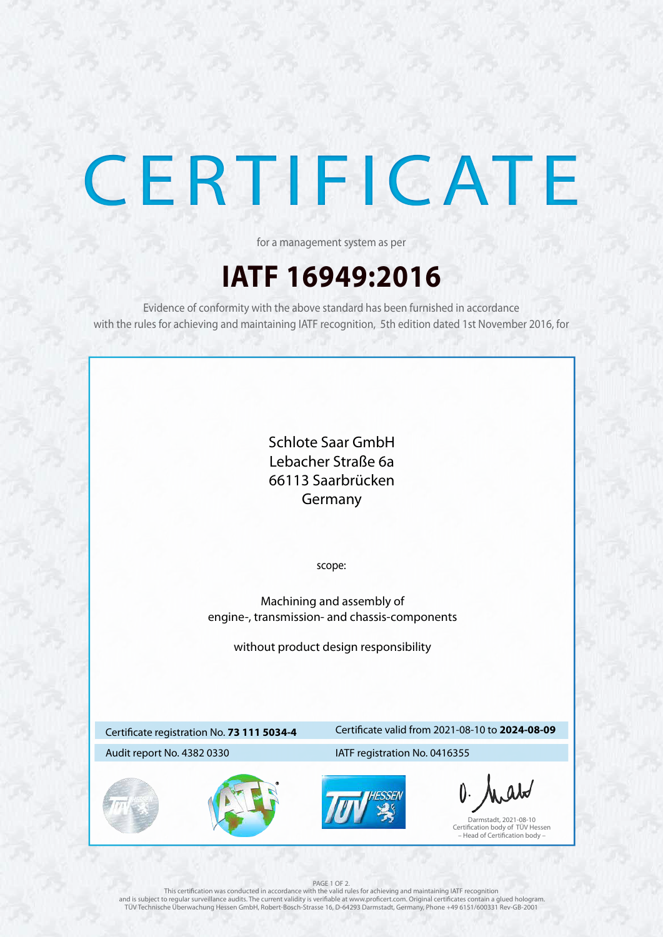



# CERTIFICATE

## **IATF 16949:2016**

for a management system as per

Evidence of conformity with the above standard has been furnished in accordance with the rules for achieving and maintaining IATF recognition, 5th edition dated 1st November 2016, for

## Certificate registration No. **73 111 5034-4**

## Certificate valid from 2021-08-10 to **2024-08-09**

## Audit report No. 4382 0330 IATF registration No. 0416355

### PAGE 1 OF 2.

This certification was conducted in accordance with the valid rules for achieving and maintaining IATF recognition and is subject to regular surveillance audits. The current validity is verifiable at www.proficert.com. Original certificates contain a glued hologram. TÜV Technische Überwachung Hessen GmbH, Robert-Bosch-Strasse 16, D-64293 Darmstadt, Germany, Phone +49 6151/600331 Rev-GB-2001

Darmstadt, 2021-08-10 Certification body of TÜV Hessen – Head of Certification body –

scope:

Machining and assembly of engine-, transmission- and chassis-components

without product design responsibility

Schlote Saar GmbH Lebacher Straße 6a 66113 Saarbrücken Germany